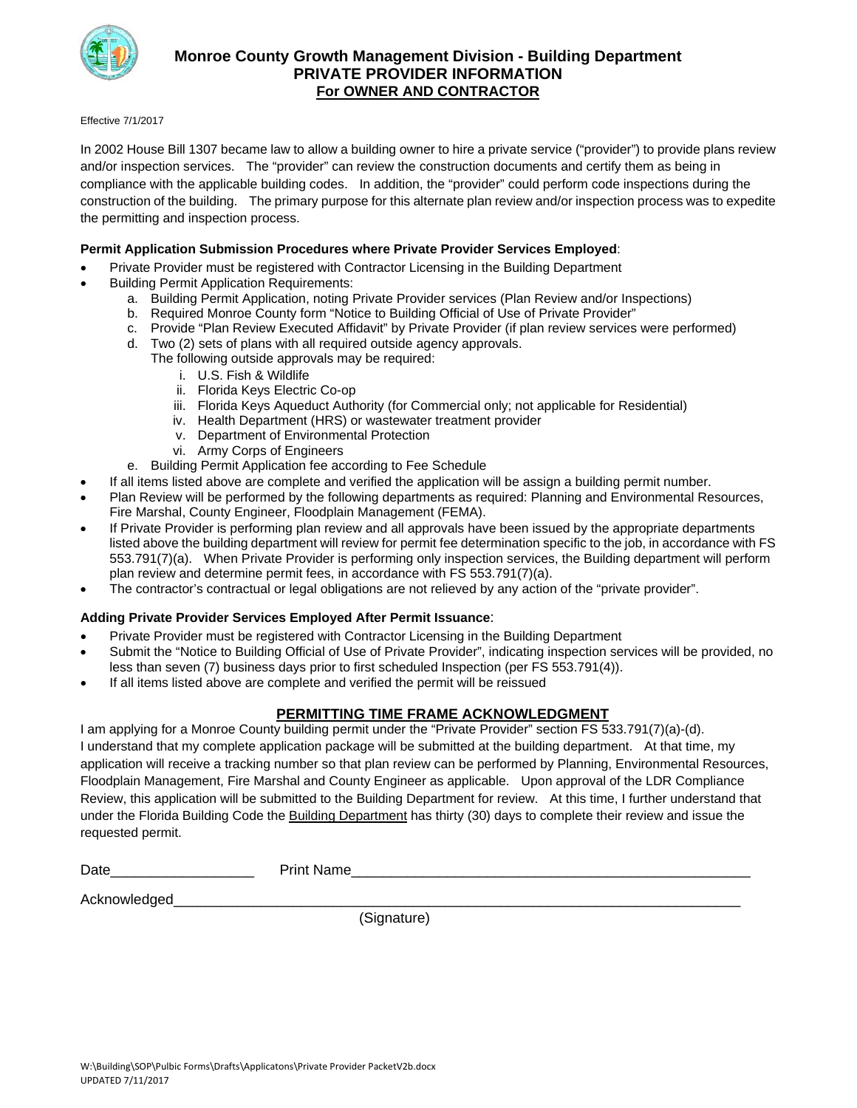

### **Monroe County Growth Management Division - Building Department PRIVATE PROVIDER INFORMATION For OWNER AND CONTRACTOR**

#### Effective 7/1/2017

In 2002 House Bill 1307 became law to allow a building owner to hire a private service ("provider") to provide plans review and/or inspection services. The "provider" can review the construction documents and certify them as being in compliance with the applicable building codes. In addition, the "provider" could perform code inspections during the construction of the building. The primary purpose for this alternate plan review and/or inspection process was to expedite the permitting and inspection process.

#### **Permit Application Submission Procedures where Private Provider Services Employed**:

- Private Provider must be registered with Contractor Licensing in the Building Department
- Building Permit Application Requirements:
	- a. Building Permit Application, noting Private Provider services (Plan Review and/or Inspections)
	- b. Required Monroe County form "Notice to Building Official of Use of Private Provider"
	- c. Provide "Plan Review Executed Affidavit" by Private Provider (if plan review services were performed)
	- d. Two (2) sets of plans with all required outside agency approvals. The following outside approvals may be required:
		- i. U.S. Fish & Wildlife
		- ii. Florida Keys Electric Co-op
		- iii. Florida Keys Aqueduct Authority (for Commercial only; not applicable for Residential)
		- iv. Health Department (HRS) or wastewater treatment provider
		- v. Department of Environmental Protection
		- vi. Army Corps of Engineers
	- e. Building Permit Application fee according to Fee Schedule
- If all items listed above are complete and verified the application will be assign a building permit number.
- Plan Review will be performed by the following departments as required: Planning and Environmental Resources, Fire Marshal, County Engineer, Floodplain Management (FEMA).
- If Private Provider is performing plan review and all approvals have been issued by the appropriate departments listed above the building department will review for permit fee determination specific to the job, in accordance with FS 553.791(7)(a). When Private Provider is performing only inspection services, the Building department will perform plan review and determine permit fees, in accordance with FS 553.791(7)(a).
- The contractor's contractual or legal obligations are not relieved by any action of the "private provider".

#### **Adding Private Provider Services Employed After Permit Issuance**:

- Private Provider must be registered with Contractor Licensing in the Building Department
- Submit the "Notice to Building Official of Use of Private Provider", indicating inspection services will be provided, no less than seven (7) business days prior to first scheduled Inspection (per FS 553.791(4)).
- If all items listed above are complete and verified the permit will be reissued

#### **PERMITTING TIME FRAME ACKNOWLEDGMENT**

I am applying for a Monroe County building permit under the "Private Provider" section FS 533.791(7)(a)-(d). I understand that my complete application package will be submitted at the building department. At that time, my application will receive a tracking number so that plan review can be performed by Planning, Environmental Resources, Floodplain Management, Fire Marshal and County Engineer as applicable. Upon approval of the LDR Compliance Review, this application will be submitted to the Building Department for review. At this time, I further understand that under the Florida Building Code the Building Department has thirty (30) days to complete their review and issue the requested permit.

| $\overline{ }$<br>. .<br>. .<br>้∼∝<br>____<br>_________ |  |
|----------------------------------------------------------|--|
|                                                          |  |

Acknowledged

(Signature)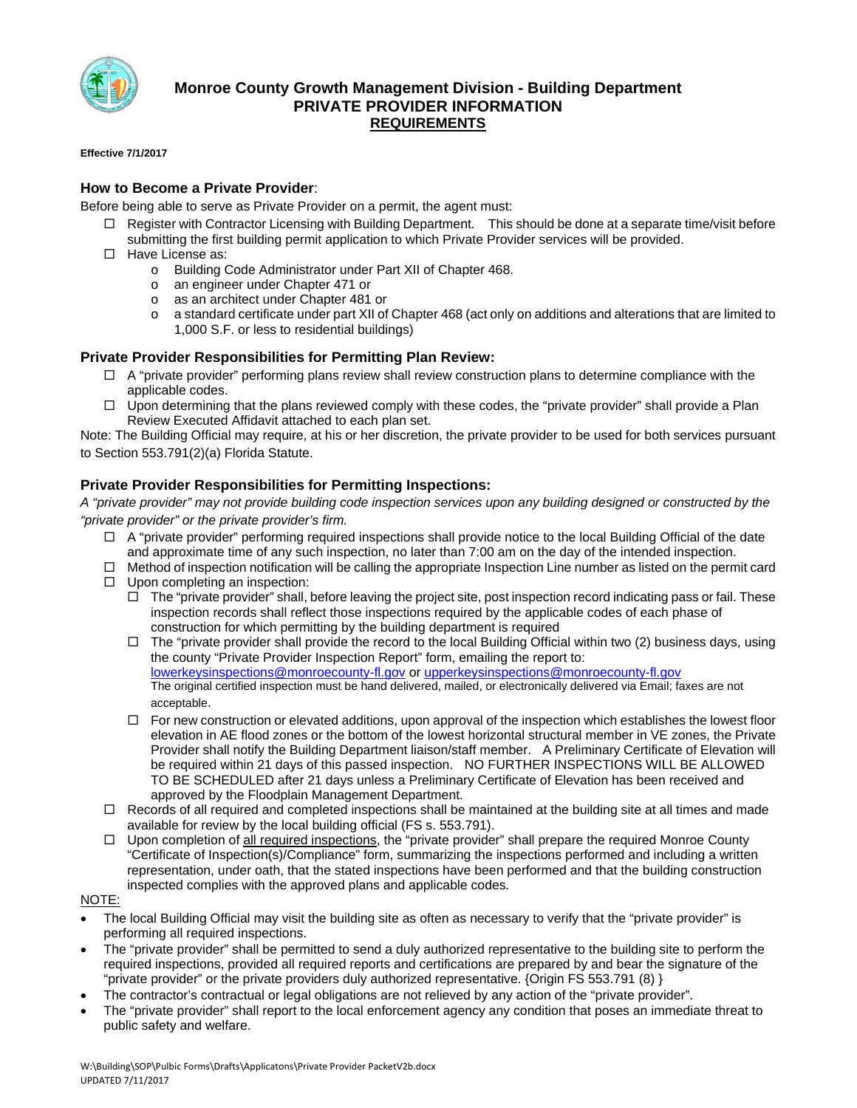

### **Monroe County Growth Management Division - Building Department PRIVATE PROVIDER INFORMATION REQUIREMENTS**

#### **Effective 7/1/2017**

#### **How to Become a Private Provider**:

Before being able to serve as Private Provider on a permit, the agent must:

- $\Box$  Register with Contractor Licensing with Building Department. This should be done at a separate time/visit before submitting the first building permit application to which Private Provider services will be provided.
- $\Box$  Have License as:
	- o Building Code Administrator under Part XII of Chapter 468.
	- o an engineer under Chapter 471 or
	- o as an architect under Chapter 481 or
	- o a standard certificate under part XII of Chapter 468 (act only on additions and alterations that are limited to 1,000 S.F. or less to residential buildings)

#### **Private Provider Responsibilities for Permitting Plan Review:**

- $\Box$  A "private provider" performing plans review shall review construction plans to determine compliance with the applicable codes.
- $\Box$  Upon determining that the plans reviewed comply with these codes, the "private provider" shall provide a Plan Review Executed Affidavit attached to each plan set.

Note: The Building Official may require, at his or her discretion, the private provider to be used for both services pursuant to Section 553.791(2)(a) Florida Statute.

#### **Private Provider Responsibilities for Permitting Inspections:**

*A "private provider" may not provide building code inspection services upon any building designed or constructed by the "private provider" or the private provider's firm.* 

- $\Box$  A "private provider" performing required inspections shall provide notice to the local Building Official of the date and approximate time of any such inspection, no later than 7:00 am on the day of the intended inspection.
- Method of inspection notification will be calling the appropriate Inspection Line number as listed on the permit card
- $\Box$  Upon completing an inspection:
	- $\Box$  The "private provider" shall, before leaving the project site, post inspection record indicating pass or fail. These inspection records shall reflect those inspections required by the applicable codes of each phase of construction for which permitting by the building department is required
	- $\Box$  The "private provider shall provide the record to the local Building Official within two (2) business days, using the county "Private Provider Inspection Report" form, emailing the report to: lowerkeysinspections@monroecounty-fl.gov or upperkeysinspections@monroecounty-fl.gov The original certified inspection must be hand delivered, mailed, or electronically delivered via Email; faxes are not acceptable.
	- $\Box$  For new construction or elevated additions, upon approval of the inspection which establishes the lowest floor elevation in AE flood zones or the bottom of the lowest horizontal structural member in VE zones, the Private Provider shall notify the Building Department liaison/staff member. A Preliminary Certificate of Elevation will be required within 21 days of this passed inspection. NO FURTHER INSPECTIONS WILL BE ALLOWED TO BE SCHEDULED after 21 days unless a Preliminary Certificate of Elevation has been received and approved by the Floodplain Management Department.
- $\Box$  Records of all required and completed inspections shall be maintained at the building site at all times and made available for review by the local building official (FS s. 553.791).
- $\Box$  Upon completion of all required inspections, the "private provider" shall prepare the required Monroe County "Certificate of Inspection(s)/Compliance" form, summarizing the inspections performed and including a written representation, under oath, that the stated inspections have been performed and that the building construction inspected complies with the approved plans and applicable codes*.*

#### NOTE:

- The local Building Official may visit the building site as often as necessary to verify that the "private provider" is performing all required inspections.
- The "private provider" shall be permitted to send a duly authorized representative to the building site to perform the required inspections, provided all required reports and certifications are prepared by and bear the signature of the "private provider" or the private providers duly authorized representative. {Origin FS 553.791 (8) }
- The contractor's contractual or legal obligations are not relieved by any action of the "private provider".
- The "private provider" shall report to the local enforcement agency any condition that poses an immediate threat to public safety and welfare.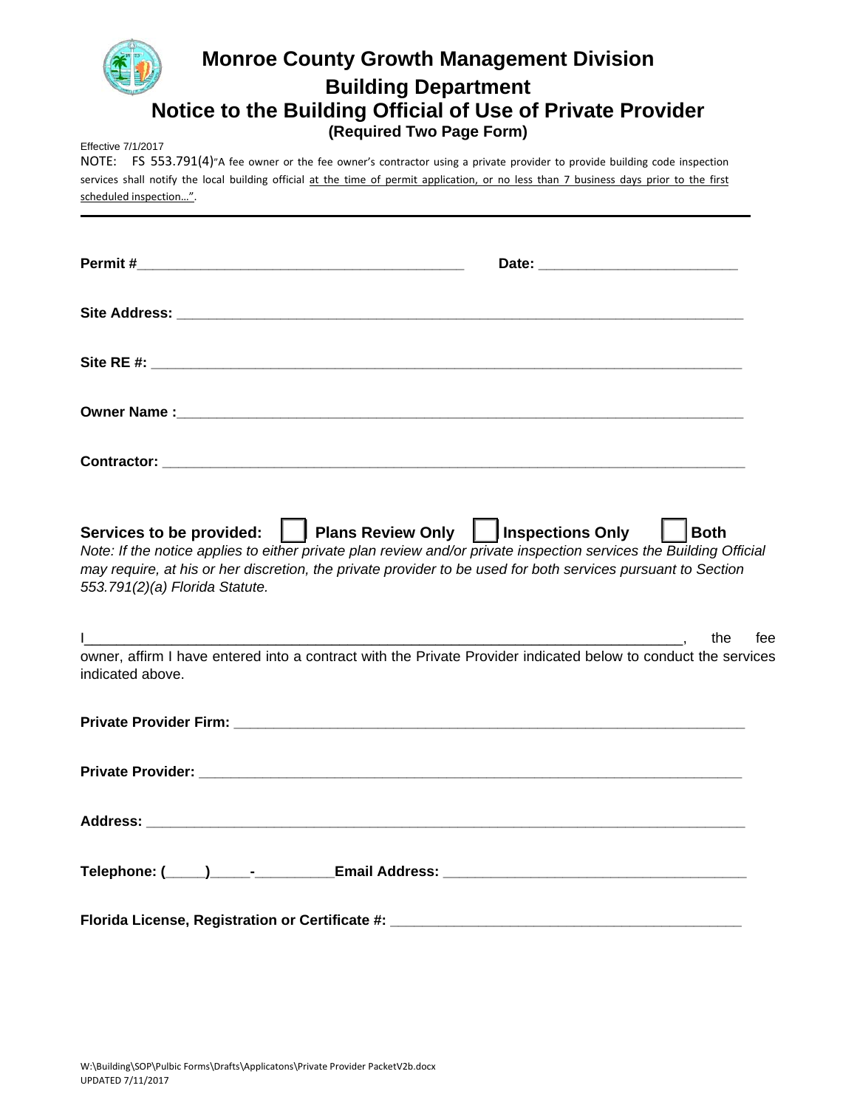# **Monroe County Growth Management Division Building Department Notice to the Building Official of Use of Private Provider (Required Two Page Form)**

Effective 7/1/2017

NOTE: FS 553.791(4)"A fee owner or the fee owner's contractor using a private provider to provide building code inspection services shall notify the local building official at the time of permit application, or no less than 7 business days prior to the first scheduled inspection…".

| Services to be provided:     Plans Review Only     Inspections Only<br>Note: If the notice applies to either private plan review and/or private inspection services the Building Official<br>may require, at his or her discretion, the private provider to be used for both services pursuant to Section<br>553.791(2)(a) Florida Statute. | $\vert$   Both |
|---------------------------------------------------------------------------------------------------------------------------------------------------------------------------------------------------------------------------------------------------------------------------------------------------------------------------------------------|----------------|
|                                                                                                                                                                                                                                                                                                                                             | the<br>fee     |
| owner, affirm I have entered into a contract with the Private Provider indicated below to conduct the services<br>indicated above.                                                                                                                                                                                                          |                |
|                                                                                                                                                                                                                                                                                                                                             |                |
|                                                                                                                                                                                                                                                                                                                                             |                |
|                                                                                                                                                                                                                                                                                                                                             |                |
|                                                                                                                                                                                                                                                                                                                                             |                |
| Florida License, Registration or Certificate #: ________________________________                                                                                                                                                                                                                                                            |                |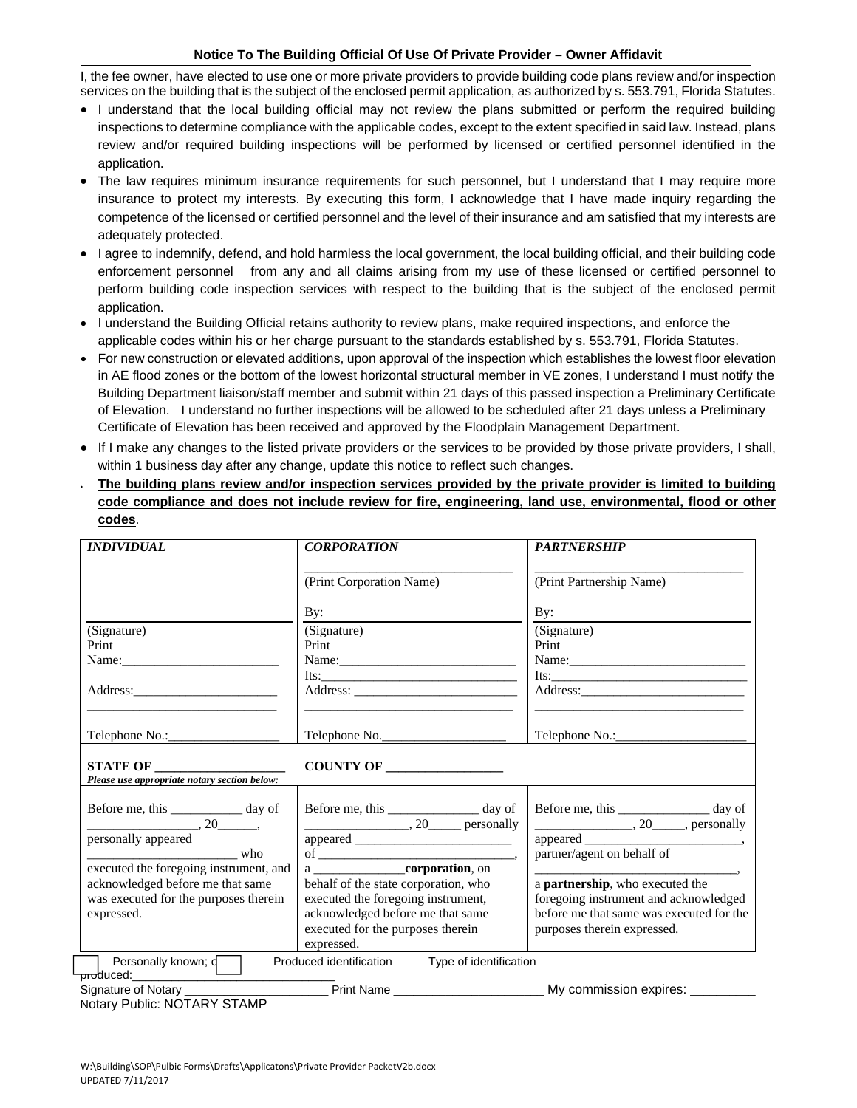#### **Notice To The Building Official Of Use Of Private Provider – Owner Affidavit**

I, the fee owner, have elected to use one or more private providers to provide building code plans review and/or inspection services on the building that is the subject of the enclosed permit application, as authorized by s. 553.791, Florida Statutes.

- I understand that the local building official may not review the plans submitted or perform the required building inspections to determine compliance with the applicable codes, except to the extent specified in said law. Instead, plans review and/or required building inspections will be performed by licensed or certified personnel identified in the application.
- The law requires minimum insurance requirements for such personnel, but I understand that I may require more insurance to protect my interests. By executing this form, I acknowledge that I have made inquiry regarding the competence of the licensed or certified personnel and the level of their insurance and am satisfied that my interests are adequately protected.
- I agree to indemnify, defend, and hold harmless the local government, the local building official, and their building code enforcement personnel from any and all claims arising from my use of these licensed or certified personnel to perform building code inspection services with respect to the building that is the subject of the enclosed permit application.
- I understand the Building Official retains authority to review plans, make required inspections, and enforce the applicable codes within his or her charge pursuant to the standards established by s. 553.791, Florida Statutes.
- For new construction or elevated additions, upon approval of the inspection which establishes the lowest floor elevation in AE flood zones or the bottom of the lowest horizontal structural member in VE zones, I understand I must notify the Building Department liaison/staff member and submit within 21 days of this passed inspection a Preliminary Certificate of Elevation. I understand no further inspections will be allowed to be scheduled after 21 days unless a Preliminary Certificate of Elevation has been received and approved by the Floodplain Management Department.
- If I make any changes to the listed private providers or the services to be provided by those private providers, I shall, within 1 business day after any change, update this notice to reflect such changes.
- **The building plans review and/or inspection services provided by the private provider is limited to building code compliance and does not include review for fire, engineering, land use, environmental, flood or other codes**.

| <b>INDIVIDUAL</b>                                                                                                           | <b>CORPORATION</b>                                                           | <b>PARTNERSHIP</b>                                                                           |  |
|-----------------------------------------------------------------------------------------------------------------------------|------------------------------------------------------------------------------|----------------------------------------------------------------------------------------------|--|
|                                                                                                                             | (Print Corporation Name)                                                     | (Print Partnership Name)                                                                     |  |
|                                                                                                                             | By:                                                                          | $\mathbf{By:}$                                                                               |  |
| (Signature)                                                                                                                 | (Signature)                                                                  | (Signature)                                                                                  |  |
| Print                                                                                                                       | Print                                                                        | Print                                                                                        |  |
|                                                                                                                             |                                                                              |                                                                                              |  |
|                                                                                                                             | Its: $\frac{1}{\sqrt{1-\frac{1}{2}}\left(\frac{1}{2}-\frac{1}{2}\right)}$    | Its: $\frac{1}{2}$                                                                           |  |
|                                                                                                                             |                                                                              | <u> 2000 - Johann John Stone, mension al-</u>                                                |  |
|                                                                                                                             | Telephone No.                                                                |                                                                                              |  |
| Please use appropriate notary section below:                                                                                |                                                                              |                                                                                              |  |
| Before me, this ____________ day of<br>$\overline{\phantom{a}}$ , 20 $\overline{\phantom{a}}$ , 20 $\overline{\phantom{a}}$ | Before me, this ________________ day of<br>$\frac{1}{20}$ , 20 personally    | Before me, this __________________ day of<br>$\frac{1}{20}$ , 20 $\frac{1}{20}$ , personally |  |
| personally appeared                                                                                                         |                                                                              |                                                                                              |  |
|                                                                                                                             |                                                                              |                                                                                              |  |
| executed the foregoing instrument, and                                                                                      | a corporation, on                                                            |                                                                                              |  |
| acknowledged before me that same                                                                                            | behalf of the state corporation, who                                         | a partnership, who executed the                                                              |  |
| was executed for the purposes therein                                                                                       | executed the foregoing instrument,                                           | foregoing instrument and acknowledged                                                        |  |
| expressed.                                                                                                                  | acknowledged before me that same                                             | before me that same was executed for the                                                     |  |
|                                                                                                                             | executed for the purposes therein                                            | purposes therein expressed.                                                                  |  |
|                                                                                                                             | expressed.                                                                   |                                                                                              |  |
| Personally known; d                                                                                                         | Produced identification Type of identification                               |                                                                                              |  |
| Signature of Notary                                                                                                         | _________ Print Name ______________________ My commission expires: _________ |                                                                                              |  |
| Notary Public: NOTARY STAMP                                                                                                 |                                                                              |                                                                                              |  |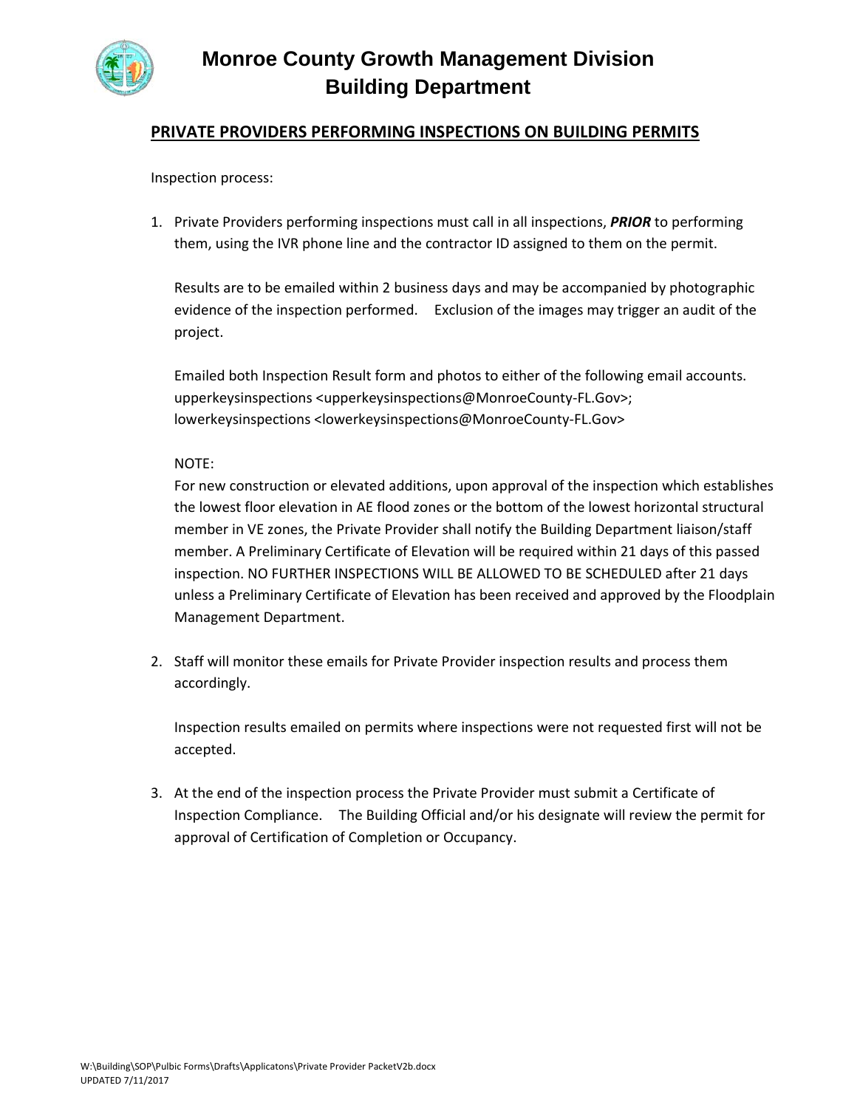

# **Monroe County Growth Management Division Building Department**

## **PRIVATE PROVIDERS PERFORMING INSPECTIONS ON BUILDING PERMITS**

Inspection process:

1. Private Providers performing inspections must call in all inspections, *PRIOR* to performing them, using the IVR phone line and the contractor ID assigned to them on the permit.

Results are to be emailed within 2 business days and may be accompanied by photographic evidence of the inspection performed. Exclusion of the images may trigger an audit of the project.

Emailed both Inspection Result form and photos to either of the following email accounts. upperkeysinspections <upperkeysinspections@MonroeCounty-FL.Gov>; lowerkeysinspections <lowerkeysinspections@MonroeCounty‐FL.Gov>

### NOTE:

For new construction or elevated additions, upon approval of the inspection which establishes the lowest floor elevation in AE flood zones or the bottom of the lowest horizontal structural member in VE zones, the Private Provider shall notify the Building Department liaison/staff member. A Preliminary Certificate of Elevation will be required within 21 days of this passed inspection. NO FURTHER INSPECTIONS WILL BE ALLOWED TO BE SCHEDULED after 21 days unless a Preliminary Certificate of Elevation has been received and approved by the Floodplain Management Department.

2. Staff will monitor these emails for Private Provider inspection results and process them accordingly.

Inspection results emailed on permits where inspections were not requested first will not be accepted.

3. At the end of the inspection process the Private Provider must submit a Certificate of Inspection Compliance. The Building Official and/or his designate will review the permit for approval of Certification of Completion or Occupancy.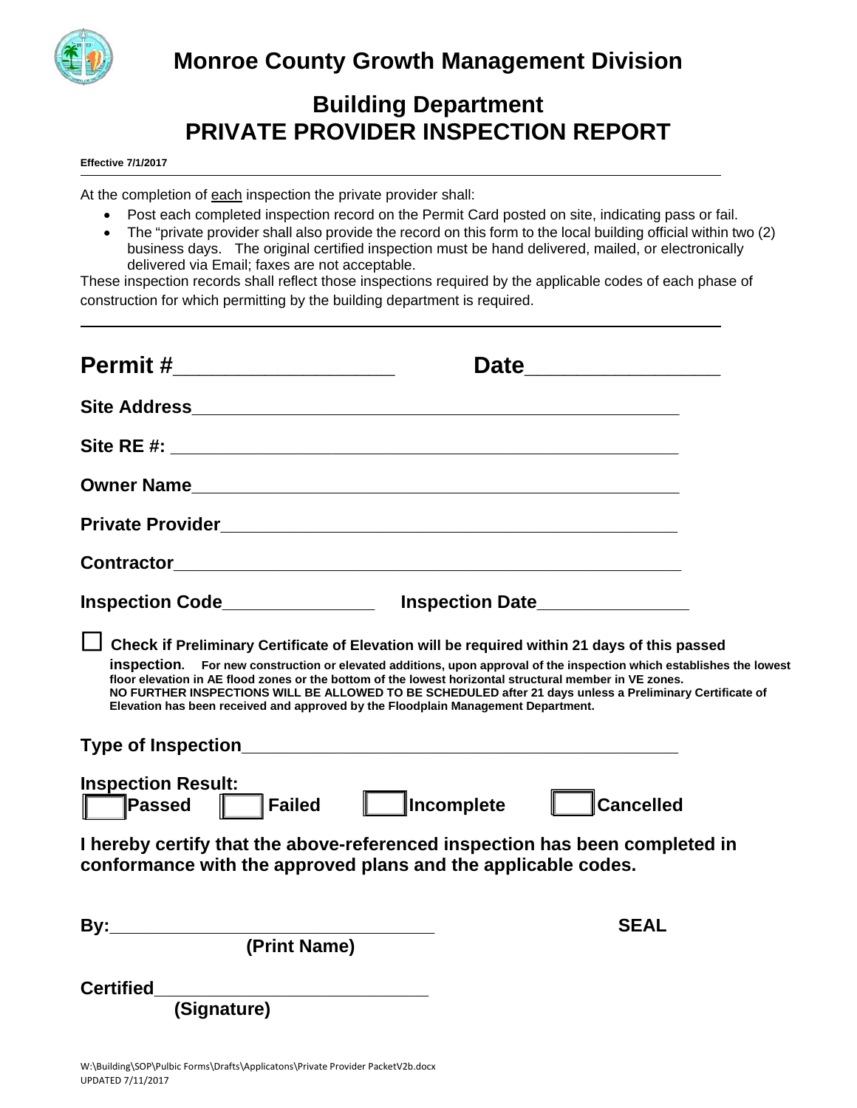

# **Building Department PRIVATE PROVIDER INSPECTION REPORT**

**Effective 7/1/2017**

At the completion of each inspection the private provider shall:

- Post each completed inspection record on the Permit Card posted on site, indicating pass or fail.
- The "private provider shall also provide the record on this form to the local building official within two (2) business days. The original certified inspection must be hand delivered, mailed, or electronically delivered via Email; faxes are not acceptable.

These inspection records shall reflect those inspections required by the applicable codes of each phase of construction for which permitting by the building department is required.

| Permit #___________________                                                       | Date                                                                                                                                                                                                                                                                                                                                                                                                                                        |
|-----------------------------------------------------------------------------------|---------------------------------------------------------------------------------------------------------------------------------------------------------------------------------------------------------------------------------------------------------------------------------------------------------------------------------------------------------------------------------------------------------------------------------------------|
|                                                                                   |                                                                                                                                                                                                                                                                                                                                                                                                                                             |
|                                                                                   |                                                                                                                                                                                                                                                                                                                                                                                                                                             |
|                                                                                   |                                                                                                                                                                                                                                                                                                                                                                                                                                             |
|                                                                                   |                                                                                                                                                                                                                                                                                                                                                                                                                                             |
|                                                                                   |                                                                                                                                                                                                                                                                                                                                                                                                                                             |
| Inspection Code___________________ Inspection Date________________                |                                                                                                                                                                                                                                                                                                                                                                                                                                             |
| Elevation has been received and approved by the Floodplain Management Department. | Check if Preliminary Certificate of Elevation will be required within 21 days of this passed<br>inspection. For new construction or elevated additions, upon approval of the inspection which establishes the lowest<br>floor elevation in AE flood zones or the bottom of the lowest horizontal structural member in VE zones.<br>NO FURTHER INSPECTIONS WILL BE ALLOWED TO BE SCHEDULED after 21 days unless a Preliminary Certificate of |
| Type of Inspection <b>Type of Instruction</b>                                     |                                                                                                                                                                                                                                                                                                                                                                                                                                             |
| <b>Inspection Result:</b><br>$\Box$ Failed<br><b>Passed</b>                       | <b>Incomplete</b><br><b>Cancelled</b>                                                                                                                                                                                                                                                                                                                                                                                                       |
| conformance with the approved plans and the applicable codes.                     | I hereby certify that the above-referenced inspection has been completed in                                                                                                                                                                                                                                                                                                                                                                 |
| (Print Name)                                                                      | <b>SEAL</b>                                                                                                                                                                                                                                                                                                                                                                                                                                 |
| <b>Certified</b><br>(Signature)                                                   |                                                                                                                                                                                                                                                                                                                                                                                                                                             |